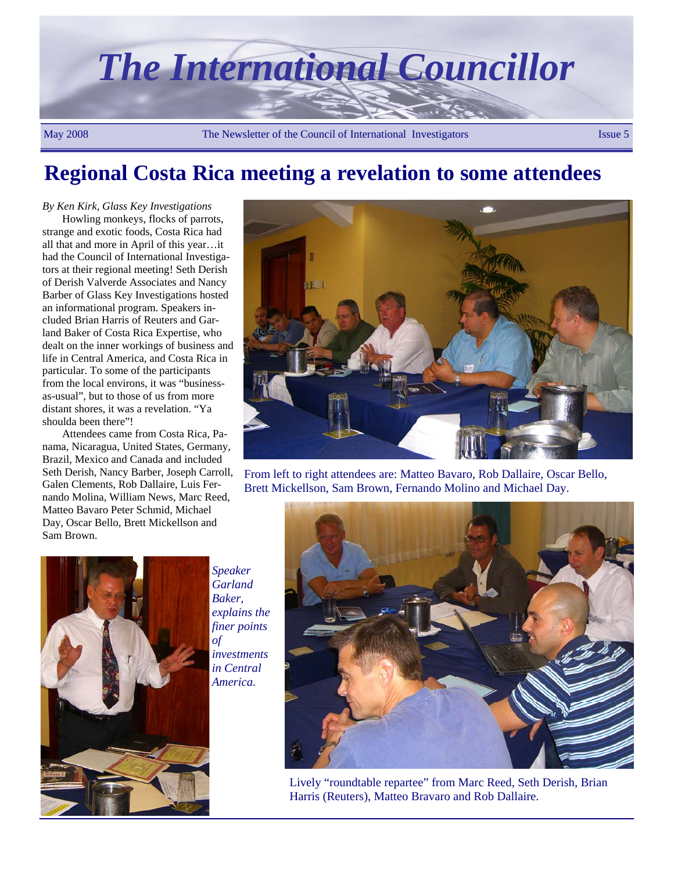

**Regional Costa Rica meeting a revelation to some attendees** 

*By Ken Kirk, Glass Key Investigations*  Howling monkeys, flocks of parrots, strange and exotic foods, Costa Rica had all that and more in April of this year…it had the Council of International Investigators at their regional meeting! Seth Derish of Derish Valverde Associates and Nancy Barber of Glass Key Investigations hosted an informational program. Speakers included Brian Harris of Reuters and Garland Baker of Costa Rica Expertise, who dealt on the inner workings of business and life in Central America, and Costa Rica in particular. To some of the participants from the local environs, it was "businessas-usual", but to those of us from more distant shores, it was a revelation. "Ya shoulda been there"!

Attendees came from Costa Rica, Panama, Nicaragua, United States, Germany, Brazil, Mexico and Canada and included Seth Derish, Nancy Barber, Joseph Carroll, Galen Clements, Rob Dallaire, Luis Fernando Molina, William News, Marc Reed, Matteo Bavaro Peter Schmid, Michael Day, Oscar Bello, Brett Mickellson and Sam Brown.



From left to right attendees are: Matteo Bavaro, Rob Dallaire, Oscar Bello, Brett Mickellson, Sam Brown, Fernando Molino and Michael Day.



*Speaker Garland Baker, explains the finer points of investments in Central America.* 



Lively "roundtable repartee" from Marc Reed, Seth Derish, Brian Harris (Reuters), Matteo Bravaro and Rob Dallaire.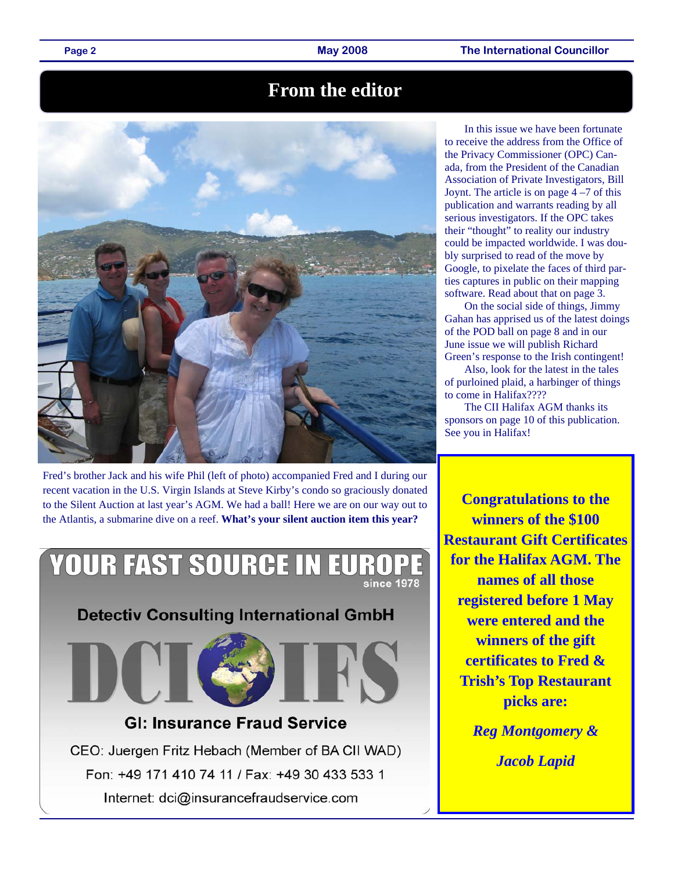# **From the editor**



Fred's brother Jack and his wife Phil (left of photo) accompanied Fred and I during our recent vacation in the U.S. Virgin Islands at Steve Kirby's condo so graciously donated to the Silent Auction at last year's AGM. We had a ball! Here we are on our way out to the Atlantis, a submarine dive on a reef. **What's your silent auction item this year?** 

## **YOUR FAST SOURCE IN EU** since 1978

**Detectiv Consulting International GmbH** 



## **GI: Insurance Fraud Service**

CEO: Juergen Fritz Hebach (Member of BA CII WAD) Fon: +49 171 410 74 11 / Fax: +49 30 433 533 1 Internet: dci@insurancefraudservice.com

In this issue we have been fortunate to receive the address from the Office of the Privacy Commissioner (OPC) Canada, from the President of the Canadian Association of Private Investigators, Bill Joynt. The article is on page 4 –7 of this publication and warrants reading by all serious investigators. If the OPC takes their "thought" to reality our industry could be impacted worldwide. I was doubly surprised to read of the move by Google, to pixelate the faces of third parties captures in public on their mapping software. Read about that on page 3.

On the social side of things, Jimmy Gahan has apprised us of the latest doings of the POD ball on page 8 and in our June issue we will publish Richard Green's response to the Irish contingent!

Also, look for the latest in the tales of purloined plaid, a harbinger of things to come in Halifax????

The CII Halifax AGM thanks its sponsors on page 10 of this publication. See you in Halifax!

**Congratulations to the winners of the \$100 Restaurant Gift Certificates for the Halifax AGM. The names of all those registered before 1 May were entered and the winners of the gift certificates to Fred & Trish's Top Restaurant picks are:** 

> *Reg Montgomery & Jacob Lapid*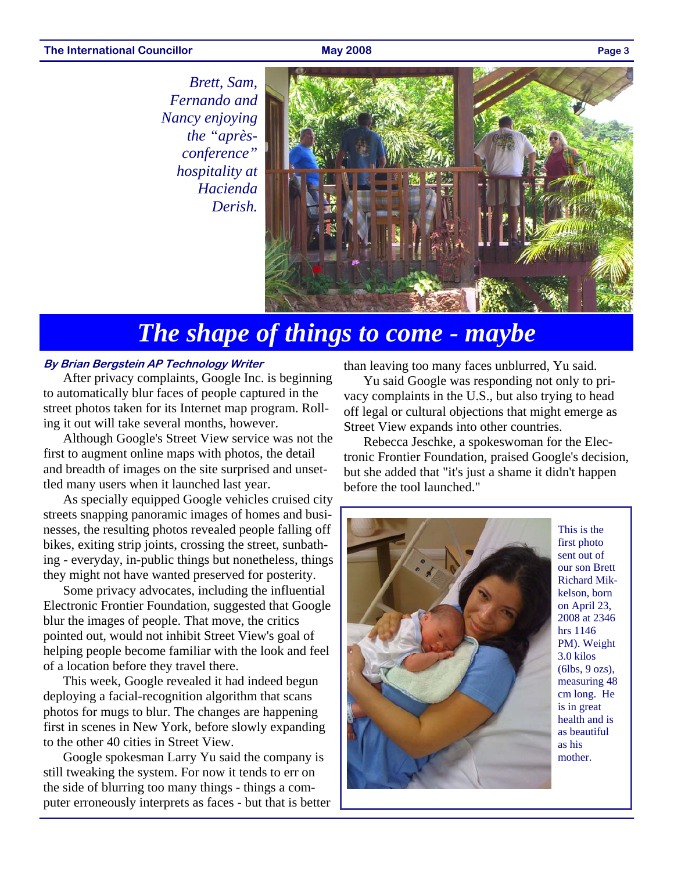#### **The International Councillor May 2008 Page 3**

*Brett, Sam, Fernando and Nancy enjoying the "aprèsconference" hospitality at Hacienda Derish.* 



# *The shape of things to come - maybe*

### **By Brian Bergstein AP Technology Writer**

After privacy complaints, Google Inc. is beginning to automatically blur faces of people captured in the street photos taken for its Internet map program. Rolling it out will take several months, however.

Although Google's Street View service was not the first to augment online maps with photos, the detail and breadth of images on the site surprised and unsettled many users when it launched last year.

As specially equipped Google vehicles cruised city streets snapping panoramic images of homes and businesses, the resulting photos revealed people falling off bikes, exiting strip joints, crossing the street, sunbathing - everyday, in-public things but nonetheless, things they might not have wanted preserved for posterity.

Some privacy advocates, including the influential Electronic Frontier Foundation, suggested that Google blur the images of people. That move, the critics pointed out, would not inhibit Street View's goal of helping people become familiar with the look and feel of a location before they travel there.

This week, Google revealed it had indeed begun deploying a facial-recognition algorithm that scans photos for mugs to blur. The changes are happening first in scenes in New York, before slowly expanding to the other 40 cities in Street View.

Google spokesman Larry Yu said the company is still tweaking the system. For now it tends to err on the side of blurring too many things - things a computer erroneously interprets as faces - but that is better than leaving too many faces unblurred, Yu said.

Yu said Google was responding not only to privacy complaints in the U.S., but also trying to head off legal or cultural objections that might emerge as Street View expands into other countries.

Rebecca Jeschke, a spokeswoman for the Electronic Frontier Foundation, praised Google's decision, but she added that "it's just a shame it didn't happen before the tool launched."



This is the first photo sent out of our son Brett Richard Mikkelson, born on April 23, 2008 at 2346 hrs 1146 PM). Weight 3.0 kilos (6lbs, 9 ozs), measuring 48 cm long. He is in great health and is as beautiful as his mother.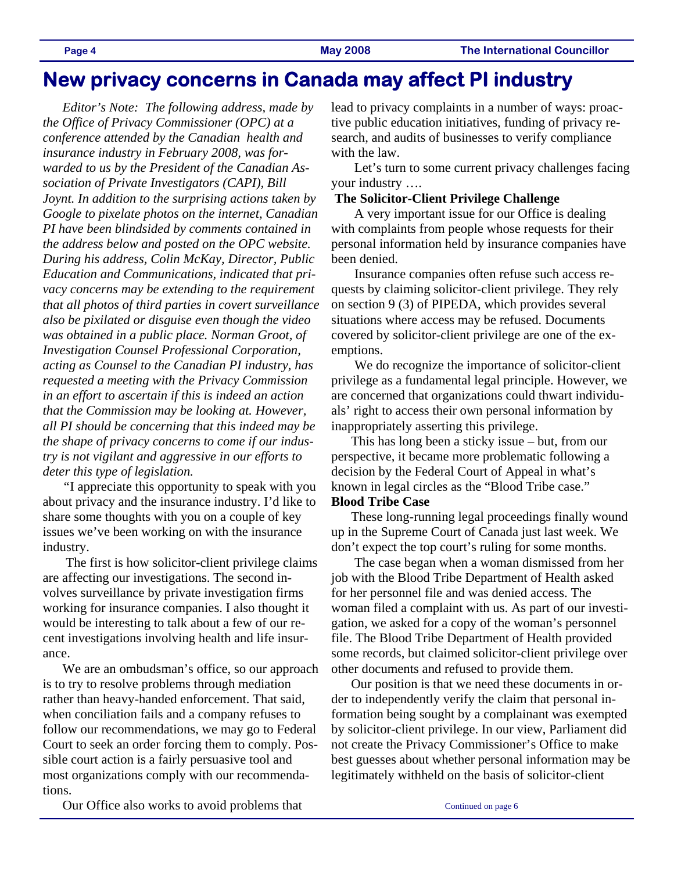*Editor's Note: The following address, made by the Office of Privacy Commissioner (OPC) at a conference attended by the Canadian health and insurance industry in February 2008, was forwarded to us by the President of the Canadian Association of Private Investigators (CAPI), Bill Joynt. In addition to the surprising actions taken by Google to pixelate photos on the internet, Canadian PI have been blindsided by comments contained in the address below and posted on the OPC website. During his address, Colin McKay, Director, Public Education and Communications, indicated that privacy concerns may be extending to the requirement that all photos of third parties in covert surveillance also be pixilated or disguise even though the video was obtained in a public place. Norman Groot, of Investigation Counsel Professional Corporation, acting as Counsel to the Canadian PI industry, has requested a meeting with the Privacy Commission in an effort to ascertain if this is indeed an action that the Commission may be looking at. However, all PI should be concerning that this indeed may be the shape of privacy concerns to come if our industry is not vigilant and aggressive in our efforts to deter this type of legislation.* 

*"*I appreciate this opportunity to speak with you about privacy and the insurance industry. I'd like to share some thoughts with you on a couple of key issues we've been working on with the insurance industry.

 The first is how solicitor-client privilege claims are affecting our investigations. The second involves surveillance by private investigation firms working for insurance companies. I also thought it would be interesting to talk about a few of our recent investigations involving health and life insurance.

We are an ombudsman's office, so our approach is to try to resolve problems through mediation rather than heavy-handed enforcement. That said, when conciliation fails and a company refuses to follow our recommendations, we may go to Federal Court to seek an order forcing them to comply. Possible court action is a fairly persuasive tool and most organizations comply with our recommendations.

lead to privacy complaints in a number of ways: proactive public education initiatives, funding of privacy research, and audits of businesses to verify compliance with the law.

 Let's turn to some current privacy challenges facing your industry ….

### **The Solicitor-Client Privilege Challenge**

 A very important issue for our Office is dealing with complaints from people whose requests for their personal information held by insurance companies have been denied.

 Insurance companies often refuse such access requests by claiming solicitor-client privilege. They rely on section 9 (3) of PIPEDA, which provides several situations where access may be refused. Documents covered by solicitor-client privilege are one of the exemptions.

 We do recognize the importance of solicitor-client privilege as a fundamental legal principle. However, we are concerned that organizations could thwart individuals' right to access their own personal information by inappropriately asserting this privilege.

This has long been a sticky issue – but, from our perspective, it became more problematic following a decision by the Federal Court of Appeal in what's known in legal circles as the "Blood Tribe case." **Blood Tribe Case** 

These long-running legal proceedings finally wound up in the Supreme Court of Canada just last week. We don't expect the top court's ruling for some months.

 The case began when a woman dismissed from her job with the Blood Tribe Department of Health asked for her personnel file and was denied access. The woman filed a complaint with us. As part of our investigation, we asked for a copy of the woman's personnel file. The Blood Tribe Department of Health provided some records, but claimed solicitor-client privilege over other documents and refused to provide them.

Our position is that we need these documents in order to independently verify the claim that personal information being sought by a complainant was exempted by solicitor-client privilege. In our view, Parliament did not create the Privacy Commissioner's Office to make best guesses about whether personal information may be legitimately withheld on the basis of solicitor-client

Our Office also works to avoid problems that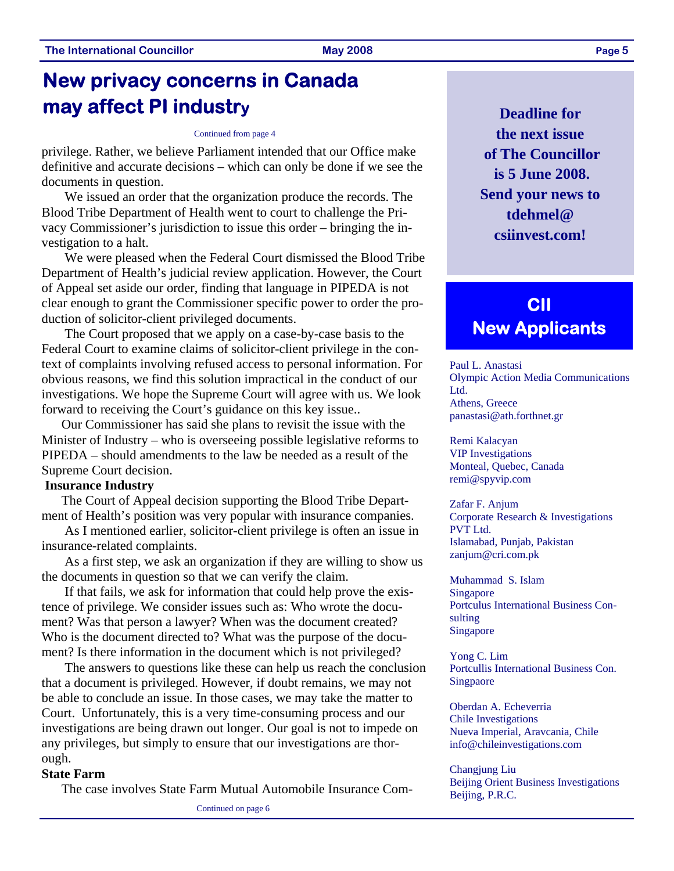#### Continued from page 4

privilege. Rather, we believe Parliament intended that our Office make definitive and accurate decisions – which can only be done if we see the documents in question.

 We issued an order that the organization produce the records. The Blood Tribe Department of Health went to court to challenge the Privacy Commissioner's jurisdiction to issue this order – bringing the investigation to a halt.

 We were pleased when the Federal Court dismissed the Blood Tribe Department of Health's judicial review application. However, the Court of Appeal set aside our order, finding that language in PIPEDA is not clear enough to grant the Commissioner specific power to order the production of solicitor-client privileged documents.

 The Court proposed that we apply on a case-by-case basis to the Federal Court to examine claims of solicitor-client privilege in the context of complaints involving refused access to personal information. For obvious reasons, we find this solution impractical in the conduct of our investigations. We hope the Supreme Court will agree with us. We look forward to receiving the Court's guidance on this key issue..

Our Commissioner has said she plans to revisit the issue with the Minister of Industry – who is overseeing possible legislative reforms to PIPEDA – should amendments to the law be needed as a result of the Supreme Court decision.

### **Insurance Industry**

The Court of Appeal decision supporting the Blood Tribe Department of Health's position was very popular with insurance companies.

 As I mentioned earlier, solicitor-client privilege is often an issue in insurance-related complaints.

 As a first step, we ask an organization if they are willing to show us the documents in question so that we can verify the claim.

 If that fails, we ask for information that could help prove the existence of privilege. We consider issues such as: Who wrote the document? Was that person a lawyer? When was the document created? Who is the document directed to? What was the purpose of the document? Is there information in the document which is not privileged?

 The answers to questions like these can help us reach the conclusion that a document is privileged. However, if doubt remains, we may not be able to conclude an issue. In those cases, we may take the matter to Court. Unfortunately, this is a very time-consuming process and our investigations are being drawn out longer. Our goal is not to impede on any privileges, but simply to ensure that our investigations are thorough.

### **State Farm**

The case involves State Farm Mutual Automobile Insurance Com-

Continued on page 6

**Deadline for the next issue of The Councillor is 5 June 2008. Send your news to tdehmel@ csiinvest.com!** 

# **CII New Applicants**

Paul L. Anastasi Olympic Action Media Communications Ltd. Athens, Greece panastasi@ath.forthnet.gr

Remi Kalacyan VIP Investigations Monteal, Quebec, Canada remi@spyvip.com

Zafar F. Anjum Corporate Research & Investigations PVT Ltd. Islamabad, Punjab, Pakistan zanjum@cri.com.pk

Muhammad S. Islam Singapore Portculus International Business Consulting Singapore

Yong C. Lim Portcullis International Business Con. Singpaore

Oberdan A. Echeverria Chile Investigations Nueva Imperial, Aravcania, Chile info@chileinvestigations.com

Changjung Liu Beijing Orient Business Investigations Beijing, P.R.C.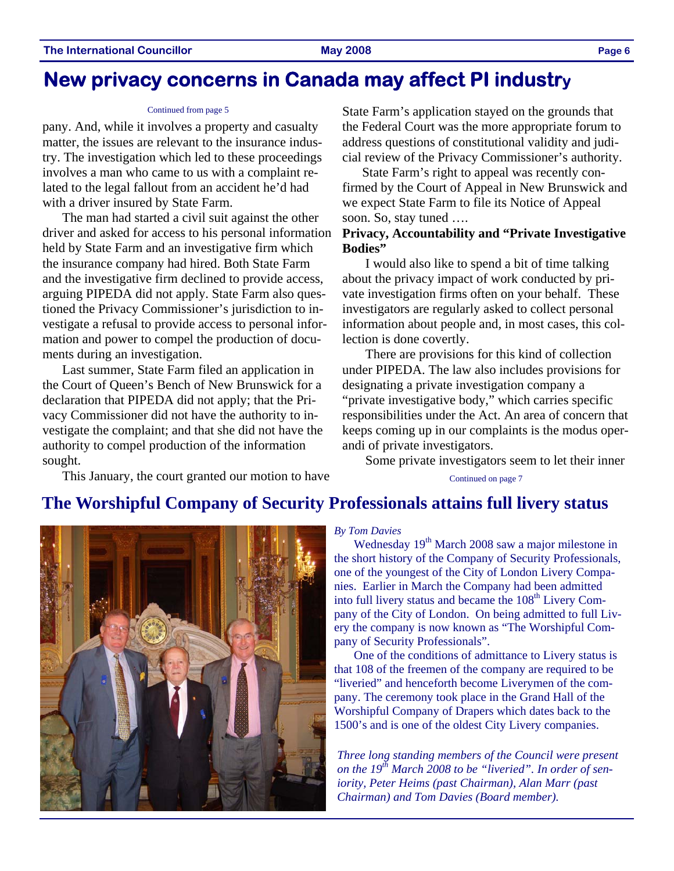#### Continued from page 5

pany. And, while it involves a property and casualty matter, the issues are relevant to the insurance industry. The investigation which led to these proceedings involves a man who came to us with a complaint related to the legal fallout from an accident he'd had with a driver insured by State Farm.

The man had started a civil suit against the other driver and asked for access to his personal information held by State Farm and an investigative firm which the insurance company had hired. Both State Farm and the investigative firm declined to provide access, arguing PIPEDA did not apply. State Farm also questioned the Privacy Commissioner's jurisdiction to investigate a refusal to provide access to personal information and power to compel the production of documents during an investigation.

Last summer, State Farm filed an application in the Court of Queen's Bench of New Brunswick for a declaration that PIPEDA did not apply; that the Privacy Commissioner did not have the authority to investigate the complaint; and that she did not have the authority to compel production of the information sought.

This January, the court granted our motion to have

State Farm's application stayed on the grounds that the Federal Court was the more appropriate forum to address questions of constitutional validity and judicial review of the Privacy Commissioner's authority.

State Farm's right to appeal was recently confirmed by the Court of Appeal in New Brunswick and we expect State Farm to file its Notice of Appeal soon. So, stay tuned ….

## **Privacy, Accountability and "Private Investigative Bodies"**

 I would also like to spend a bit of time talking about the privacy impact of work conducted by private investigation firms often on your behalf. These investigators are regularly asked to collect personal information about people and, in most cases, this collection is done covertly.

 There are provisions for this kind of collection under PIPEDA. The law also includes provisions for designating a private investigation company a "private investigative body," which carries specific responsibilities under the Act. An area of concern that keeps coming up in our complaints is the modus operandi of private investigators.

 Some private investigators seem to let their inner Continued on page 7

## **The Worshipful Company of Security Professionals attains full livery status**



#### *By Tom Davies*

Wednesday 19<sup>th</sup> March 2008 saw a major milestone in the short history of the Company of Security Professionals, one of the youngest of the City of London Livery Companies. Earlier in March the Company had been admitted into full livery status and became the  $108<sup>th</sup>$  Livery Company of the City of London. On being admitted to full Livery the company is now known as "The Worshipful Company of Security Professionals".

One of the conditions of admittance to Livery status is that 108 of the freemen of the company are required to be "liveried" and henceforth become Liverymen of the company. The ceremony took place in the Grand Hall of the Worshipful Company of Drapers which dates back to the 1500's and is one of the oldest City Livery companies.

*Three long standing members of the Council were present on the 19th March 2008 to be "liveried". In order of seniority, Peter Heims (past Chairman), Alan Marr (past Chairman) and Tom Davies (Board member).*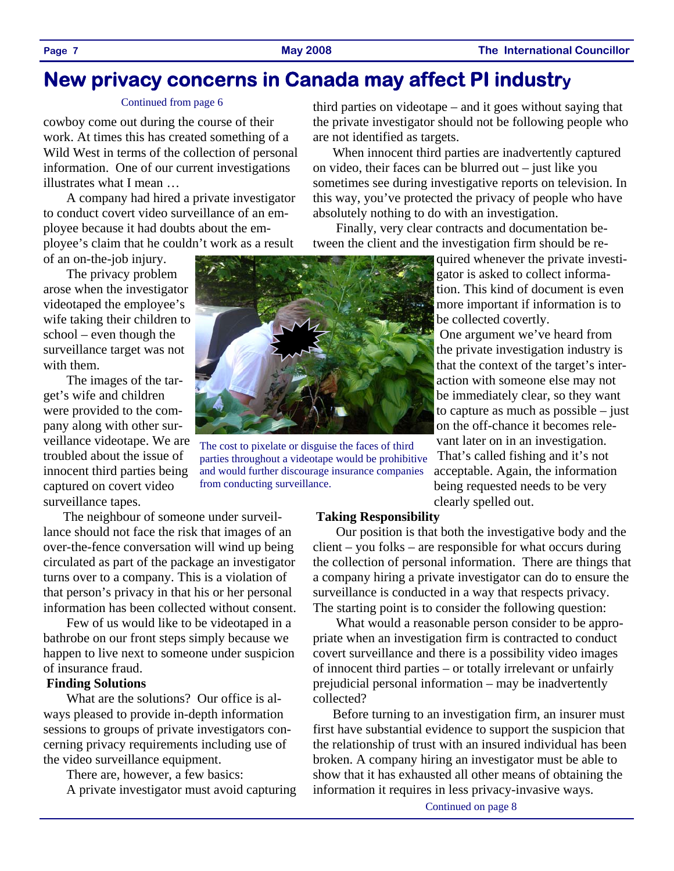### Continued from page 6

cowboy come out during the course of their work. At times this has created something of a Wild West in terms of the collection of personal information. One of our current investigations illustrates what I mean …

 A company had hired a private investigator to conduct covert video surveillance of an employee because it had doubts about the em-

ployee's claim that he couldn't work as a result

of an on-the-job injury.

 The privacy problem arose when the investigator videotaped the employee's wife taking their children to school – even though the surveillance target was not with them.

 The images of the target's wife and children were provided to the company along with other surveillance videotape. We are troubled about the issue of innocent third parties being captured on covert video surveillance tapes.

the private investigator should not be following people who are not identified as targets. When innocent third parties are inadvertently captured on video, their faces can be blurred out – just like you

sometimes see during investigative reports on television. In this way, you've protected the privacy of people who have absolutely nothing to do with an investigation.

third parties on videotape – and it goes without saying that

 Finally, very clear contracts and documentation between the client and the investigation firm should be re-



 One argument we've heard from the private investigation industry is that the context of the target's interaction with someone else may not be immediately clear, so they want to capture as much as possible – just on the off-chance it becomes relevant later on in an investigation. That's called fishing and it's not acceptable. Again, the information being requested needs to be very clearly spelled out.

### The cost to pixelate or disguise the faces of third parties throughout a videotape would be prohibitive and would further discourage insurance companies from conducting surveillance.

The neighbour of someone under surveillance should not face the risk that images of an over-the-fence conversation will wind up being circulated as part of the package an investigator turns over to a company. This is a violation of that person's privacy in that his or her personal information has been collected without consent.

 Few of us would like to be videotaped in a bathrobe on our front steps simply because we happen to live next to someone under suspicion of insurance fraud.

## **Finding Solutions**

 What are the solutions? Our office is always pleased to provide in-depth information sessions to groups of private investigators concerning privacy requirements including use of the video surveillance equipment.

 There are, however, a few basics: A private investigator must avoid capturing

**Taking Responsibility**

 Our position is that both the investigative body and the client – you folks – are responsible for what occurs during the collection of personal information. There are things that a company hiring a private investigator can do to ensure the surveillance is conducted in a way that respects privacy. The starting point is to consider the following question:

 What would a reasonable person consider to be appropriate when an investigation firm is contracted to conduct covert surveillance and there is a possibility video images of innocent third parties – or totally irrelevant or unfairly prejudicial personal information – may be inadvertently collected?

Before turning to an investigation firm, an insurer must first have substantial evidence to support the suspicion that the relationship of trust with an insured individual has been broken. A company hiring an investigator must be able to show that it has exhausted all other means of obtaining the information it requires in less privacy-invasive ways.

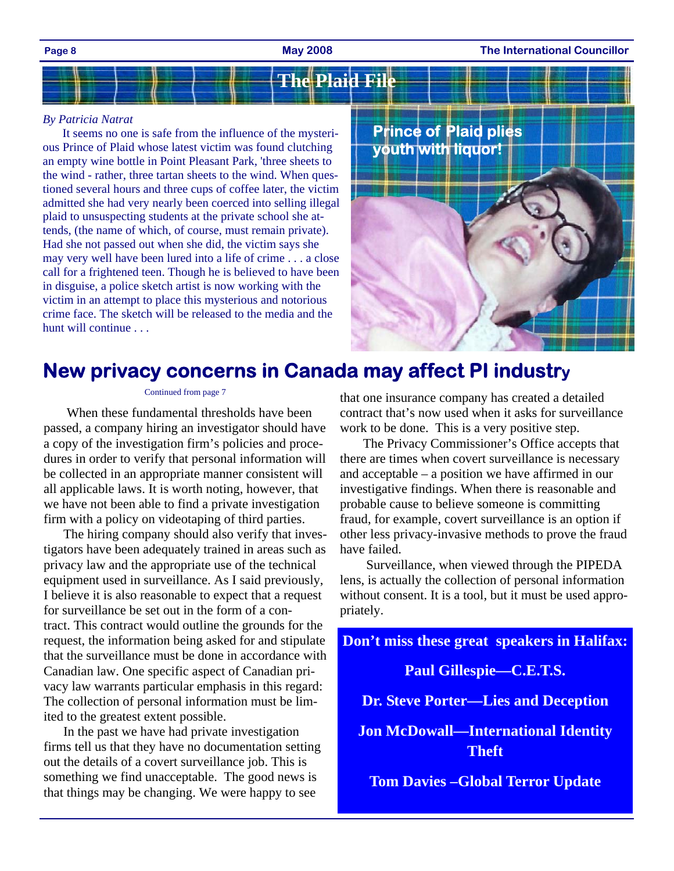# **The Plaid File**

#### *By Patricia Natrat*

It seems no one is safe from the influence of the mysterious Prince of Plaid whose latest victim was found clutching an empty wine bottle in Point Pleasant Park, 'three sheets to the wind - rather, three tartan sheets to the wind. When questioned several hours and three cups of coffee later, the victim admitted she had very nearly been coerced into selling illegal plaid to unsuspecting students at the private school she attends, (the name of which, of course, must remain private). Had she not passed out when she did, the victim says she may very well have been lured into a life of crime . . . a close call for a frightened teen. Though he is believed to have been in disguise, a police sketch artist is now working with the victim in an attempt to place this mysterious and notorious crime face. The sketch will be released to the media and the hunt will continue . . .



## **New privacy concerns in Canada may affect PI industry**

#### Continued from page 7

 When these fundamental thresholds have been passed, a company hiring an investigator should have a copy of the investigation firm's policies and procedures in order to verify that personal information will be collected in an appropriate manner consistent will all applicable laws. It is worth noting, however, that we have not been able to find a private investigation firm with a policy on videotaping of third parties.

The hiring company should also verify that investigators have been adequately trained in areas such as privacy law and the appropriate use of the technical equipment used in surveillance. As I said previously, I believe it is also reasonable to expect that a request for surveillance be set out in the form of a contract. This contract would outline the grounds for the request, the information being asked for and stipulate that the surveillance must be done in accordance with Canadian law. One specific aspect of Canadian privacy law warrants particular emphasis in this regard: The collection of personal information must be limited to the greatest extent possible.

In the past we have had private investigation firms tell us that they have no documentation setting out the details of a covert surveillance job. This is something we find unacceptable. The good news is that things may be changing. We were happy to see

that one insurance company has created a detailed contract that's now used when it asks for surveillance work to be done. This is a very positive step.

 The Privacy Commissioner's Office accepts that there are times when covert surveillance is necessary and acceptable – a position we have affirmed in our investigative findings. When there is reasonable and probable cause to believe someone is committing fraud, for example, covert surveillance is an option if other less privacy-invasive methods to prove the fraud have failed.

 Surveillance, when viewed through the PIPEDA lens, is actually the collection of personal information without consent. It is a tool, but it must be used appropriately.

**Don't miss these great speakers in Halifax: Paul Gillespie—C.E.T.S.** 

**Dr. Steve Porter—Lies and Deception** 

**Jon McDowall—International Identity Theft** 

**Tom Davies –Global Terror Update**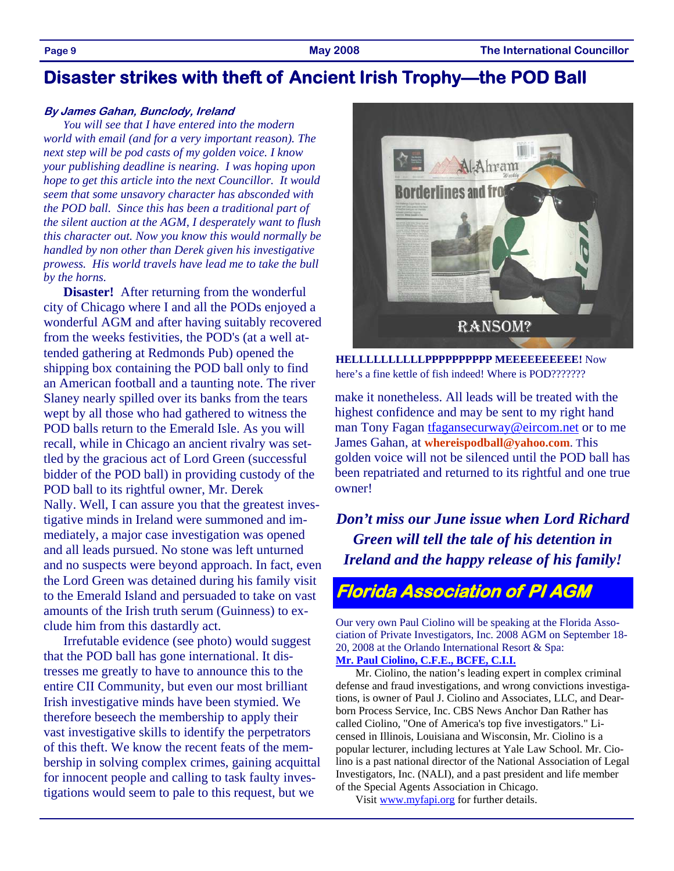## **Disaster strikes with theft of Ancient Irish Trophy—the POD Ball**

### **By James Gahan, Bunclody, Ireland**

*You will see that I have entered into the modern world with email (and for a very important reason). The next step will be pod casts of my golden voice. I know your publishing deadline is nearing. I was hoping upon hope to get this article into the next Councillor. It would seem that some unsavory character has absconded with the POD ball. Since this has been a traditional part of the silent auction at the AGM, I desperately want to flush this character out. Now you know this would normally be handled by non other than Derek given his investigative prowess. His world travels have lead me to take the bull by the horns.* 

**Disaster!** After returning from the wonderful city of Chicago where I and all the PODs enjoyed a wonderful AGM and after having suitably recovered from the weeks festivities, the POD's (at a well attended gathering at Redmonds Pub) opened the shipping box containing the POD ball only to find an American football and a taunting note. The river Slaney nearly spilled over its banks from the tears wept by all those who had gathered to witness the POD balls return to the Emerald Isle. As you will recall, while in Chicago an ancient rivalry was settled by the gracious act of Lord Green (successful bidder of the POD ball) in providing custody of the POD ball to its rightful owner, Mr. Derek Nally. Well, I can assure you that the greatest investigative minds in Ireland were summoned and immediately, a major case investigation was opened and all leads pursued. No stone was left unturned and no suspects were beyond approach. In fact, even the Lord Green was detained during his family visit to the Emerald Island and persuaded to take on vast amounts of the Irish truth serum (Guinness) to exclude him from this dastardly act.

Irrefutable evidence (see photo) would suggest that the POD ball has gone international. It distresses me greatly to have to announce this to the entire CII Community, but even our most brilliant Irish investigative minds have been stymied. We therefore beseech the membership to apply their vast investigative skills to identify the perpetrators of this theft. We know the recent feats of the membership in solving complex crimes, gaining acquittal for innocent people and calling to task faulty investigations would seem to pale to this request, but we



**HELLLLLLLLLLPPPPPPPPPP MEEEEEEEEEE!** Now here's a fine kettle of fish indeed! Where is POD????????

make it nonetheless. All leads will be treated with the highest confidence and may be sent to my right hand man Tony Fagan tfagansecurway@eircom.net or to me James Gahan, at **whereispodball@yahoo.com**. This golden voice will not be silenced until the POD ball has been repatriated and returned to its rightful and one true owner!

*Don't miss our June issue when Lord Richard Green will tell the tale of his detention in Ireland and the happy release of his family!* 

## **Florida Association of PI AGM**

Our very own Paul Ciolino will be speaking at the Florida Association of Private Investigators, Inc. 2008 AGM on September 18- 20, 2008 at the Orlando International Resort & Spa: **Mr. Paul Ciolino, C.F.E., BCFE, C.I.I.** 

Mr. Ciolino, the nation's leading expert in complex criminal defense and fraud investigations, and wrong convictions investigations, is owner of Paul J. Ciolino and Associates, LLC, and Dearborn Process Service, Inc. CBS News Anchor Dan Rather has called Ciolino, "One of America's top five investigators." Licensed in Illinois, Louisiana and Wisconsin, Mr. Ciolino is a popular lecturer, including lectures at Yale Law School. Mr. Ciolino is a past national director of the National Association of Legal Investigators, Inc. (NALI), and a past president and life member of the Special Agents Association in Chicago.

Visit www.myfapi.org for further details.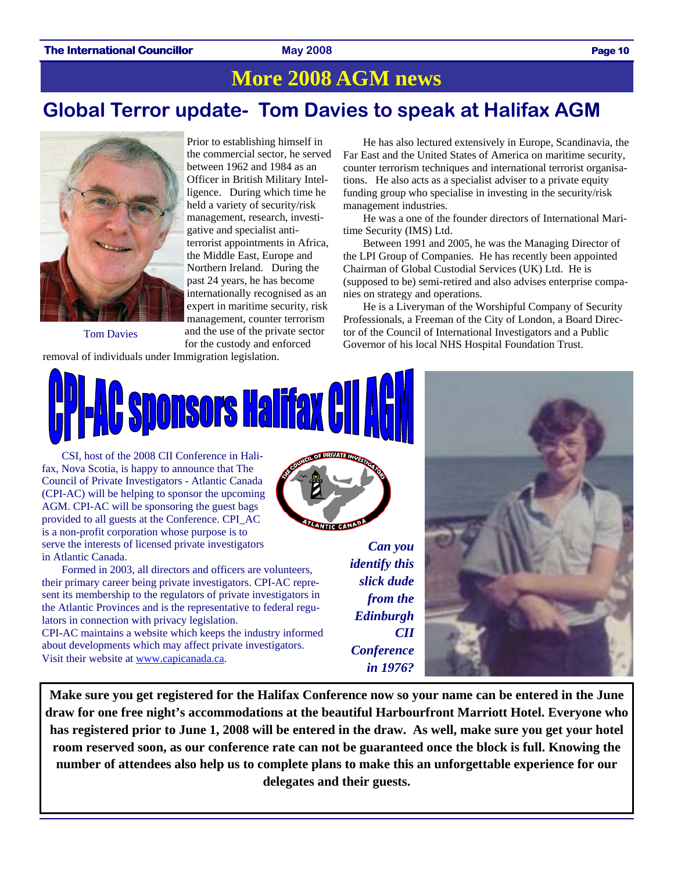#### **The International Councillor Page 10 International Councillor May 2008 Page 10**

## **More 2008 AGM news**

# **Global Terror update- Tom Davies to speak at Halifax AGM**



Tom Davies

removal of individuals under Immigration legislation.

Prior to establishing himself in the commercial sector, he served between 1962 and 1984 as an Officer in British Military Intelligence. During which time he held a variety of security/risk management, research, investigative and specialist antiterrorist appointments in Africa, the Middle East, Europe and Northern Ireland. During the past 24 years, he has become internationally recognised as an expert in maritime security, risk management, counter terrorism and the use of the private sector for the custody and enforced

He has also lectured extensively in Europe, Scandinavia, the Far East and the United States of America on maritime security, counter terrorism techniques and international terrorist organisations. He also acts as a specialist adviser to a private equity funding group who specialise in investing in the security/risk management industries.

He was a one of the founder directors of International Maritime Security (IMS) Ltd.

Between 1991 and 2005, he was the Managing Director of the LPI Group of Companies. He has recently been appointed Chairman of Global Custodial Services (UK) Ltd. He is (supposed to be) semi-retired and also advises enterprise companies on strategy and operations.

He is a Liveryman of the Worshipful Company of Security Professionals, a Freeman of the City of London, a Board Director of the Council of International Investigators and a Public Governor of his local NHS Hospital Foundation Trust.



CSI, host of the 2008 CII Conference in Halifax, Nova Scotia, is happy to announce that The Council of Private Investigators - Atlantic Canada (CPI-AC) will be helping to sponsor the upcoming AGM. CPI-AC will be sponsoring the guest bags provided to all guests at the Conference. CPI\_AC is a non-profit corporation whose purpose is to serve the interests of licensed private investigators in Atlantic Canada.

Formed in 2003, all directors and officers are volunteers, their primary career being private investigators. CPI-AC represent its membership to the regulators of private investigators in the Atlantic Provinces and is the representative to federal regulators in connection with privacy legislation.

CPI-AC maintains a website which keeps the industry informed about developments which may affect private investigators. Visit their website at www.capicanada.ca.



*Can you identify this slick dude from the Edinburgh CII Conference in 1976?* 



**Make sure you get registered for the Halifax Conference now so your name can be entered in the June draw for one free night's accommodations at the beautiful Harbourfront Marriott Hotel. Everyone who has registered prior to June 1, 2008 will be entered in the draw. As well, make sure you get your hotel room reserved soon, as our conference rate can not be guaranteed once the block is full. Knowing the number of attendees also help us to complete plans to make this an unforgettable experience for our delegates and their guests.**